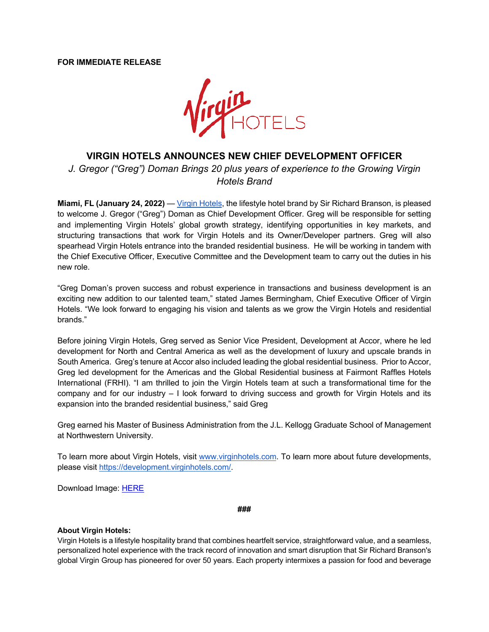## **FOR IMMEDIATE RELEASE**



## **VIRGIN HOTELS ANNOUNCES NEW CHIEF DEVELOPMENT OFFICER**

*J. Gregor ("Greg") Doman Brings 20 plus years of experience to the Growing Virgin Hotels Brand*

**Miami, FL (January 24, 2022)** — Virgin Hotels, the lifestyle hotel brand by Sir Richard Branson, is pleased to welcome J. Gregor ("Greg") Doman as Chief Development Officer. Greg will be responsible for setting and implementing Virgin Hotels' global growth strategy, identifying opportunities in key markets, and structuring transactions that work for Virgin Hotels and its Owner/Developer partners. Greg will also spearhead Virgin Hotels entrance into the branded residential business. He will be working in tandem with the Chief Executive Officer, Executive Committee and the Development team to carry out the duties in his new role.

"Greg Doman's proven success and robust experience in transactions and business development is an exciting new addition to our talented team," stated James Bermingham, Chief Executive Officer of Virgin Hotels. "We look forward to engaging his vision and talents as we grow the Virgin Hotels and residential brands."

Before joining Virgin Hotels, Greg served as Senior Vice President, Development at Accor, where he led development for North and Central America as well as the development of luxury and upscale brands in South America. Greg's tenure at Accor also included leading the global residential business. Prior to Accor, Greg led development for the Americas and the Global Residential business at Fairmont Raffles Hotels International (FRHI). "I am thrilled to join the Virgin Hotels team at such a transformational time for the company and for our industry – I look forward to driving success and growth for Virgin Hotels and its expansion into the branded residential business," said Greg

Greg earned his Master of Business Administration from the J.L. Kellogg Graduate School of Management at Northwestern University.

To learn more about Virgin Hotels, visit www.virginhotels.com. To learn more about future developments, please visit https://development.virginhotels.com/.

Download Image: HERE

**###**

## **About Virgin Hotels:**

Virgin Hotels is a lifestyle hospitality brand that combines heartfelt service, straightforward value, and a seamless, personalized hotel experience with the track record of innovation and smart disruption that Sir Richard Branson's global Virgin Group has pioneered for over 50 years. Each property intermixes a passion for food and beverage